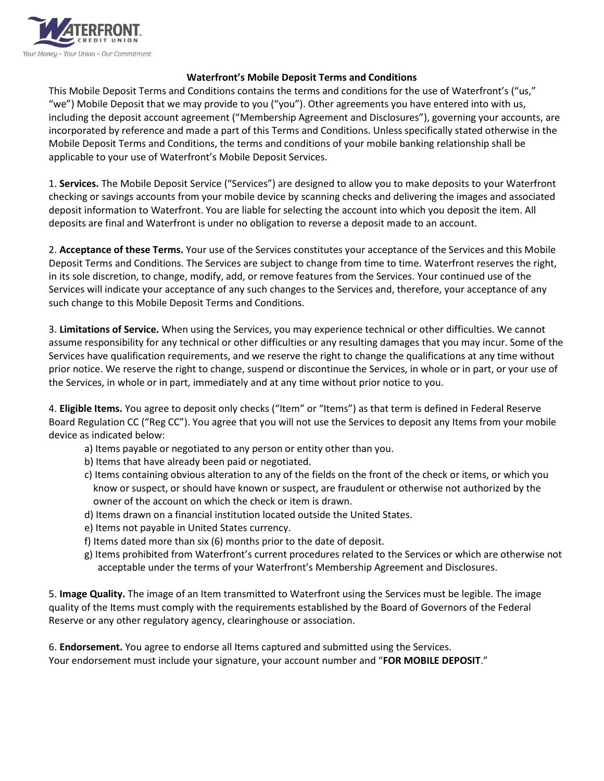

## **Waterfront's Mobile Deposit Terms and Conditions**

This Mobile Deposit Terms and Conditions contains the terms and conditions for the use of Waterfront's ("us," "we") Mobile Deposit that we may provide to you ("you"). Other agreements you have entered into with us, including the deposit account agreement ("Membership Agreement and Disclosures"), governing your accounts, are incorporated by reference and made a part of this Terms and Conditions. Unless specifically stated otherwise in the Mobile Deposit Terms and Conditions, the terms and conditions of your mobile banking relationship shall be applicable to your use of Waterfront's Mobile Deposit Services.

1. **Services.** The Mobile Deposit Service ("Services") are designed to allow you to make deposits to your Waterfront checking or savings accounts from your mobile device by scanning checks and delivering the images and associated deposit information to Waterfront. You are liable for selecting the account into which you deposit the item. All deposits are final and Waterfront is under no obligation to reverse a deposit made to an account.

2. **Acceptance of these Terms.** Your use of the Services constitutes your acceptance of the Services and this Mobile Deposit Terms and Conditions. The Services are subject to change from time to time. Waterfront reserves the right, in its sole discretion, to change, modify, add, or remove features from the Services. Your continued use of the Services will indicate your acceptance of any such changes to the Services and, therefore, your acceptance of any such change to this Mobile Deposit Terms and Conditions.

3. **Limitations of Service.** When using the Services, you may experience technical or other difficulties. We cannot assume responsibility for any technical or other difficulties or any resulting damages that you may incur. Some of the Services have qualification requirements, and we reserve the right to change the qualifications at any time without prior notice. We reserve the right to change, suspend or discontinue the Services, in whole or in part, or your use of the Services, in whole or in part, immediately and at any time without prior notice to you.

4. **Eligible Items.** You agree to deposit only checks ("Item" or "Items") as that term is defined in Federal Reserve Board Regulation CC ("Reg CC"). You agree that you will not use the Services to deposit any Items from your mobile device as indicated below:

- a) Items payable or negotiated to any person or entity other than you.
- b) Items that have already been paid or negotiated.
- c) Items containing obvious alteration to any of the fields on the front of the check or items, or which you know or suspect, or should have known or suspect, are fraudulent or otherwise not authorized by the owner of the account on which the check or item is drawn.
- d) Items drawn on a financial institution located outside the United States.
- e) Items not payable in United States currency.
- f) Items dated more than six (6) months prior to the date of deposit.
- g) Items prohibited from Waterfront's current procedures related to the Services or which are otherwise not acceptable under the terms of your Waterfront's Membership Agreement and Disclosures.

5. **Image Quality.** The image of an Item transmitted to Waterfront using the Services must be legible. The image quality of the Items must comply with the requirements established by the Board of Governors of the Federal Reserve or any other regulatory agency, clearinghouse or association.

6. **Endorsement.** You agree to endorse all Items captured and submitted using the Services. Your endorsement must include your signature, your account number and "**FOR MOBILE DEPOSIT**."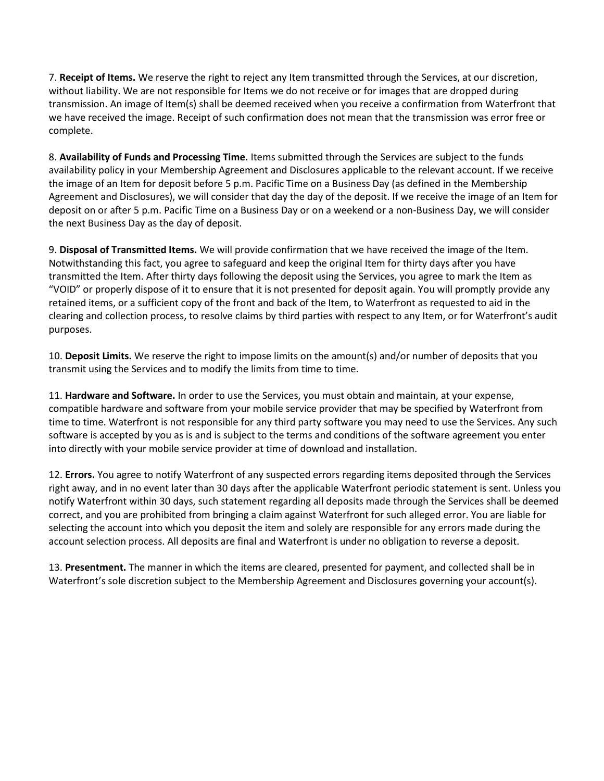7. **Receipt of Items.** We reserve the right to reject any Item transmitted through the Services, at our discretion, without liability. We are not responsible for Items we do not receive or for images that are dropped during transmission. An image of Item(s) shall be deemed received when you receive a confirmation from Waterfront that we have received the image. Receipt of such confirmation does not mean that the transmission was error free or complete.

8. **Availability of Funds and Processing Time.** Items submitted through the Services are subject to the funds availability policy in your Membership Agreement and Disclosures applicable to the relevant account. If we receive the image of an Item for deposit before 5 p.m. Pacific Time on a Business Day (as defined in the Membership Agreement and Disclosures), we will consider that day the day of the deposit. If we receive the image of an Item for deposit on or after 5 p.m. Pacific Time on a Business Day or on a weekend or a non-Business Day, we will consider the next Business Day as the day of deposit.

9. **Disposal of Transmitted Items.** We will provide confirmation that we have received the image of the Item. Notwithstanding this fact, you agree to safeguard and keep the original Item for thirty days after you have transmitted the Item. After thirty days following the deposit using the Services, you agree to mark the Item as "VOID" or properly dispose of it to ensure that it is not presented for deposit again. You will promptly provide any retained items, or a sufficient copy of the front and back of the Item, to Waterfront as requested to aid in the clearing and collection process, to resolve claims by third parties with respect to any Item, or for Waterfront's audit purposes.

10. **Deposit Limits.** We reserve the right to impose limits on the amount(s) and/or number of deposits that you transmit using the Services and to modify the limits from time to time.

11. **Hardware and Software.** In order to use the Services, you must obtain and maintain, at your expense, compatible hardware and software from your mobile service provider that may be specified by Waterfront from time to time. Waterfront is not responsible for any third party software you may need to use the Services. Any such software is accepted by you as is and is subject to the terms and conditions of the software agreement you enter into directly with your mobile service provider at time of download and installation.

12. **Errors.** You agree to notify Waterfront of any suspected errors regarding items deposited through the Services right away, and in no event later than 30 days after the applicable Waterfront periodic statement is sent. Unless you notify Waterfront within 30 days, such statement regarding all deposits made through the Services shall be deemed correct, and you are prohibited from bringing a claim against Waterfront for such alleged error. You are liable for selecting the account into which you deposit the item and solely are responsible for any errors made during the account selection process. All deposits are final and Waterfront is under no obligation to reverse a deposit.

13. **Presentment.** The manner in which the items are cleared, presented for payment, and collected shall be in Waterfront's sole discretion subject to the Membership Agreement and Disclosures governing your account(s).